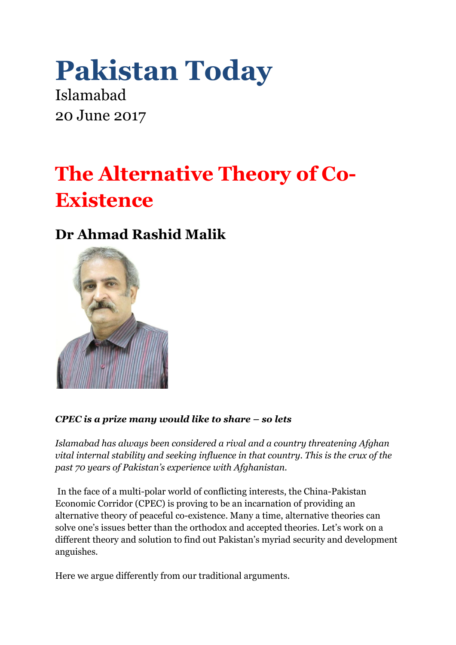# **Pakistan Today**

Islamabad 20 June 2017

## **The Alternative Theory of Co-Existence**

### **Dr Ahmad Rashid Malik**



#### *CPEC is a prize many would like to share – so lets*

*Islamabad has always been considered a rival and a country threatening Afghan vital internal stability and seeking influence in that country. This is the crux of the past 70 years of Pakistan's experience with Afghanistan.*

In the face of a multi-polar world of conflicting interests, the China-Pakistan Economic Corridor (CPEC) is proving to be an incarnation of providing an alternative theory of peaceful co-existence. Many a time, alternative theories can solve one's issues better than the orthodox and accepted theories. Let's work on a different theory and solution to find out Pakistan's myriad security and development anguishes.

Here we argue differently from our traditional arguments.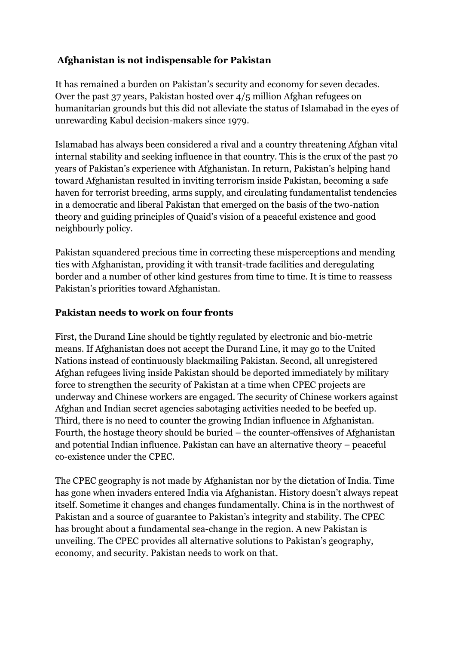#### **Afghanistan is not indispensable for Pakistan**

It has remained a burden on Pakistan's security and economy for seven decades. Over the past 37 years, Pakistan hosted over 4/5 million Afghan refugees on humanitarian grounds but this did not alleviate the status of Islamabad in the eyes of unrewarding Kabul decision-makers since 1979.

Islamabad has always been considered a rival and a country threatening Afghan vital internal stability and seeking influence in that country. This is the crux of the past 70 years of Pakistan's experience with Afghanistan. In return, Pakistan's helping hand toward Afghanistan resulted in inviting terrorism inside Pakistan, becoming a safe haven for terrorist breeding, arms supply, and circulating fundamentalist tendencies in a democratic and liberal Pakistan that emerged on the basis of the two-nation theory and guiding principles of Quaid's vision of a peaceful existence and good neighbourly policy.

Pakistan squandered precious time in correcting these misperceptions and mending ties with Afghanistan, providing it with transit-trade facilities and deregulating border and a number of other kind gestures from time to time. It is time to reassess Pakistan's priorities toward Afghanistan.

#### **Pakistan needs to work on four fronts**

First, the Durand Line should be tightly regulated by electronic and bio-metric means. If Afghanistan does not accept the Durand Line, it may go to the United Nations instead of continuously blackmailing Pakistan. Second, all unregistered Afghan refugees living inside Pakistan should be deported immediately by military force to strengthen the security of Pakistan at a time when CPEC projects are underway and Chinese workers are engaged. The security of Chinese workers against Afghan and Indian secret agencies sabotaging activities needed to be beefed up. Third, there is no need to counter the growing Indian influence in Afghanistan. Fourth, the hostage theory should be buried – the counter-offensives of Afghanistan and potential Indian influence. Pakistan can have an alternative theory – peaceful co-existence under the CPEC.

The CPEC geography is not made by Afghanistan nor by the dictation of India. Time has gone when invaders entered India via Afghanistan. History doesn't always repeat itself. Sometime it changes and changes fundamentally. China is in the northwest of Pakistan and a source of guarantee to Pakistan's integrity and stability. The CPEC has brought about a fundamental sea-change in the region. A new Pakistan is unveiling. The CPEC provides all alternative solutions to Pakistan's geography, economy, and security. Pakistan needs to work on that.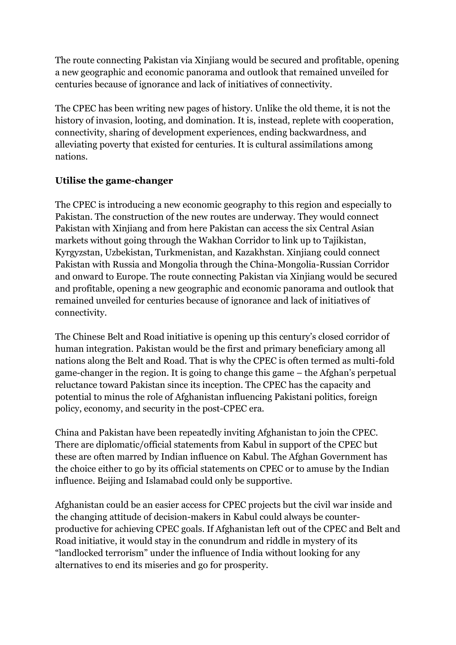The route connecting Pakistan via Xinjiang would be secured and profitable, opening a new geographic and economic panorama and outlook that remained unveiled for centuries because of ignorance and lack of initiatives of connectivity.

The CPEC has been writing new pages of history. Unlike the old theme, it is not the history of invasion, looting, and domination. It is, instead, replete with cooperation, connectivity, sharing of development experiences, ending backwardness, and alleviating poverty that existed for centuries. It is cultural assimilations among nations.

#### **Utilise the game-changer**

The CPEC is introducing a new economic geography to this region and especially to Pakistan. The construction of the new routes are underway. They would connect Pakistan with Xinjiang and from here Pakistan can access the six Central Asian markets without going through the Wakhan Corridor to link up to Tajikistan, Kyrgyzstan, Uzbekistan, Turkmenistan, and Kazakhstan. Xinjiang could connect Pakistan with Russia and Mongolia through the China-Mongolia-Russian Corridor and onward to Europe. The route connecting Pakistan via Xinjiang would be secured and profitable, opening a new geographic and economic panorama and outlook that remained unveiled for centuries because of ignorance and lack of initiatives of connectivity.

The Chinese Belt and Road initiative is opening up this century's closed corridor of human integration. Pakistan would be the first and primary beneficiary among all nations along the Belt and Road. That is why the CPEC is often termed as multi-fold game-changer in the region. It is going to change this game – the Afghan's perpetual reluctance toward Pakistan since its inception. The CPEC has the capacity and potential to minus the role of Afghanistan influencing Pakistani politics, foreign policy, economy, and security in the post-CPEC era.

China and Pakistan have been repeatedly inviting Afghanistan to join the CPEC. There are diplomatic/official statements from Kabul in support of the CPEC but these are often marred by Indian influence on Kabul. The Afghan Government has the choice either to go by its official statements on CPEC or to amuse by the Indian influence. Beijing and Islamabad could only be supportive.

Afghanistan could be an easier access for CPEC projects but the civil war inside and the changing attitude of decision-makers in Kabul could always be counterproductive for achieving CPEC goals. If Afghanistan left out of the CPEC and Belt and Road initiative, it would stay in the conundrum and riddle in mystery of its "landlocked terrorism" under the influence of India without looking for any alternatives to end its miseries and go for prosperity.